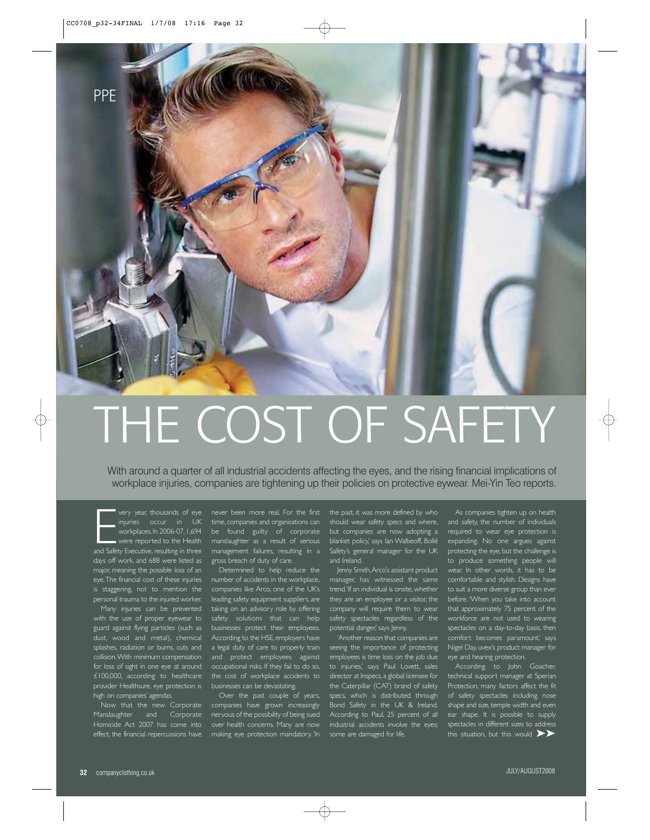

## THE COST OF SAFETY

With around a quarter of all industrial accidents affecting the eyes, and the rising financial implications of workplace injuries, companies are tightening up their policies on protective eywear. Mei-Yin Teo reports.

very year, thousands of eye<br>
injuries occur in UK<br>
workplaces. In 2006-07, 1,694<br>
were reported to the Health<br>
and Safety Executive, resulting in three workplaces. In 2006-07, 1,694 were reported to the Health days off work, and 688 were listed as major, meaning the possible loss of an eye.The financial cost of these injuries is staggering, not to mention the personal trauma to the injured worker.

with the use of proper eyewear to guard against flying particles (such as dust, wood and metal), chemical splashes, radiation or burns, cuts and collision.With minimum compensation for loss of sight in one eye at around £100,000, according to healthcare provider Healthsure, eye protection is high on companies' agendas.

Now that the new Corporate Manslaughter and Corporate effect, the financial repercussions have

time, companies and organisations can be found guilty of corporate manslaughter as a result of serious management failures, resulting in a gross breach of duty of care.

number of accidents in the workplace, companies like Arco, one of the UK's leading safety equipment suppliers, are taking on an advisory role by offering safety solutions that can help businesses protect their employees. According to the HSE, employers have a legal duty of care to properly train and protect employees against occupational risks. If they fail to do so, the cost of workplace accidents to businesses can be devastating.

Over the past couple of years, companies have grown increasingly nervous of the possibility of being sued over health concerns. Many are now making eye protection mandatory. 'In the past, it was more defined by who should wear safety specs and where, but companies are now adopting a blanket policy,' says Ian Walbeoff, Bollé Safety's general manager for the UK and Ireland.

Jenny Smith,Arco's assistant product manager, has witnessed the same trend.'If an individual is onsite, whether they are an employee or a visitor, the company will require them to wear safety spectacles regardless of the potential danger,' says Jenny.

'Another reason that companies are seeing the importance of protecting employees is time loss on the job due to injuries,' says Paul Lovett, sales director at Inspecs, a global licensee for the Caterpillar (CAT) brand of safety specs, which is distributed through Bond Safety in the UK & Ireland. According to Paul, 25 percent of all industrial accidents involve the eyes; some are damaged for life.

As companies tighten up on health and safety, the number of individuals required to wear eye protection is expanding. No one argues against protecting the eye, but the challenge is to produce something people will comfortable and stylish. Designs have to suit a more diverse group than ever before. 'When you take into account that approximately 75 percent of the workforce are not used to wearing spectacles on a day-to-day basis, then comfort becomes paramount,' says Nigel Day, uvex's product manager for eye and hearing protection.

According to John Goacher, technical support manager at Sperian of safety spectacles including nose shape and size, temple width and even ear shape. It is possible to supply spectacles in different sizes to address this situation, but this would  $\blacktriangleright\blacktriangleright$